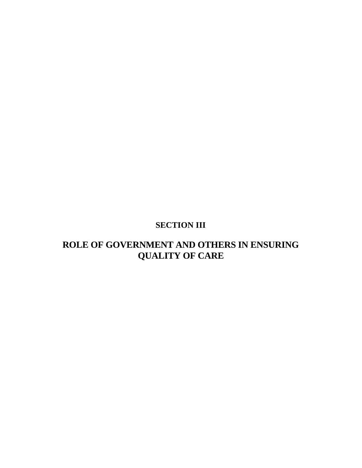# **SECTION III**

## **ROLE OF GOVERNMENT AND OTHERS IN ENSURING QUALITY OF CARE**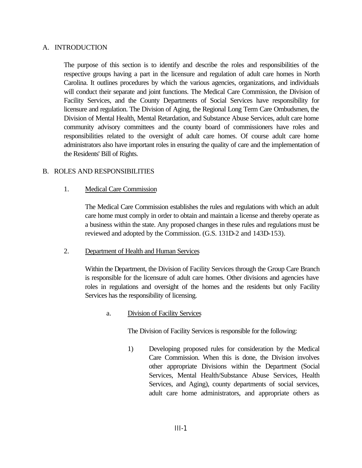#### A. INTRODUCTION

The purpose of this section is to identify and describe the roles and responsibilities of the respective groups having a part in the licensure and regulation of adult care homes in North Carolina. It outlines procedures by which the various agencies, organizations, and individuals will conduct their separate and joint functions. The Medical Care Commission, the Division of Facility Services, and the County Departments of Social Services have responsibility for licensure and regulation. The Division of Aging, the Regional Long Term Care Ombudsmen, the Division of Mental Health, Mental Retardation, and Substance Abuse Services, adult care home community advisory committees and the county board of commissioners have roles and responsibilities related to the oversight of adult care homes. Of course adult care home administrators also have important roles in ensuring the quality of care and the implementation of the Residents' Bill of Rights.

### B. ROLES AND RESPONSIBILITIES

#### 1. Medical Care Commission

The Medical Care Commission establishes the rules and regulations with which an adult care home must comply in order to obtain and maintain a license and thereby operate as a business within the state. Any proposed changes in these rules and regulations must be reviewed and adopted by the Commission. (G.S. 131D-2 and 143D-153).

#### 2. Department of Health and Human Services

Within the Department, the Division of Facility Services through the Group Care Branch is responsible for the licensure of adult care homes. Other divisions and agencies have roles in regulations and oversight of the homes and the residents but only Facility Services has the responsibility of licensing.

#### a. Division of Facility Services

The Division of Facility Services is responsible for the following:

1) Developing proposed rules for consideration by the Medical Care Commission. When this is done, the Division involves other appropriate Divisions within the Department (Social Services, Mental Health/Substance Abuse Services, Health Services, and Aging), county departments of social services, adult care home administrators, and appropriate others as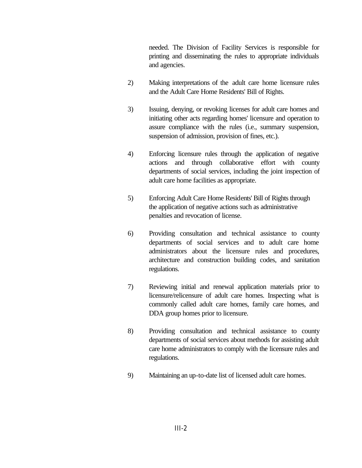needed. The Division of Facility Services is responsible for printing and disseminating the rules to appropriate individuals and agencies.

- 2) Making interpretations of the adult care home licensure rules and the Adult Care Home Residents' Bill of Rights.
- 3) Issuing, denying, or revoking licenses for adult care homes and initiating other acts regarding homes' licensure and operation to assure compliance with the rules (i.e., summary suspension, suspension of admission, provision of fines, etc.).
- 4) Enforcing licensure rules through the application of negative actions and through collaborative effort with county departments of social services, including the joint inspection of adult care home facilities as appropriate.
- 5) Enforcing Adult Care Home Residents' Bill of Rights through the application of negative actions such as administrative penalties and revocation of license.
- 6) Providing consultation and technical assistance to county departments of social services and to adult care home administrators about the licensure rules and procedures, architecture and construction building codes, and sanitation regulations.
- 7) Reviewing initial and renewal application materials prior to licensure/relicensure of adult care homes. Inspecting what is commonly called adult care homes, family care homes, and DDA group homes prior to licensure.
- 8) Providing consultation and technical assistance to county departments of social services about methods for assisting adult care home administrators to comply with the licensure rules and regulations.
- 9) Maintaining an up-to-date list of licensed adult care homes.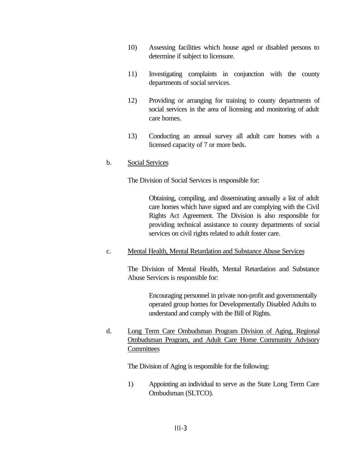- 10) Assessing facilities which house aged or disabled persons to determine if subject to licensure.
- 11) Investigating complaints in conjunction with the county departments of social services.
- 12) Providing or arranging for training to county departments of social services in the area of licensing and monitoring of adult care homes.
- 13) Conducting an annual survey all adult care homes with a licensed capacity of 7 or more beds.

#### b. Social Services

The Division of Social Services is responsible for:

Obtaining, compiling, and disseminating annually a list of adult care homes which have signed and are complying with the Civil Rights Act Agreement. The Division is also responsible for providing technical assistance to county departments of social services on civil rights related to adult foster care.

### c. Mental Health, Mental Retardation and Substance Abuse Services

The Division of Mental Health, Mental Retardation and Substance Abuse Services is responsible for:

> Encouraging personnel in private non-profit and governmentally operated group homes for Developmentally Disabled Adults to understand and comply with the Bill of Rights.

d. Long Term Care Ombudsman Program Division of Aging, Regional Ombudsman Program, and Adult Care Home Community Advisory **Committees** 

The Division of Aging is responsible for the following:

1) Appointing an individual to serve as the State Long Term Care Ombudsman (SLTCO).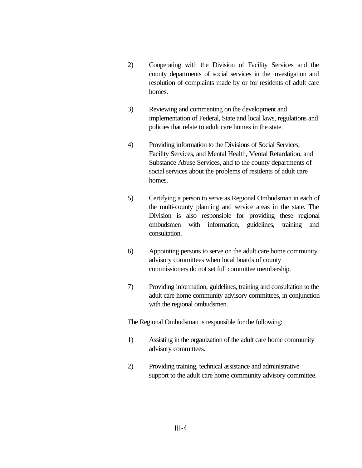- 2) Cooperating with the Division of Facility Services and the county departments of social services in the investigation and resolution of complaints made by or for residents of adult care homes.
- 3) Reviewing and commenting on the development and implementation of Federal, State and local laws, regulations and policies that relate to adult care homes in the state.
- 4) Providing information to the Divisions of Social Services, Facility Services, and Mental Health, Mental Retardation, and Substance Abuse Services, and to the county departments of social services about the problems of residents of adult care homes.
- 5) Certifying a person to serve as Regional Ombudsman in each of the multi-county planning and service areas in the state. The Division is also responsible for providing these regional ombudsmen with information, guidelines, training and consultation.
- 6) Appointing persons to serve on the adult care home community advisory committees when local boards of county commissioners do not set full committee membership.
- 7) Providing information, guidelines, training and consultation to the adult care home community advisory committees, in conjunction with the regional ombudsmen.

The Regional Ombudsman is responsible for the following:

- 1) Assisting in the organization of the adult care home community advisory committees.
- 2) Providing training, technical assistance and administrative support to the adult care home community advisory committee.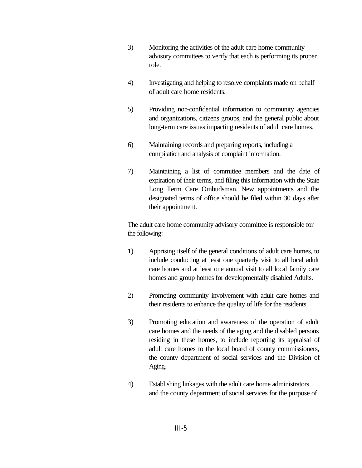- 3) Monitoring the activities of the adult care home community advisory committees to verify that each is performing its proper role.
- 4) Investigating and helping to resolve complaints made on behalf of adult care home residents.
- 5) Providing non-confidential information to community agencies and organizations, citizens groups, and the general public about long-term care issues impacting residents of adult care homes.
- 6) Maintaining records and preparing reports, including a compilation and analysis of complaint information.
- 7) Maintaining a list of committee members and the date of expiration of their terms, and filing this information with the State Long Term Care Ombudsman. New appointments and the designated terms of office should be filed within 30 days after their appointment.

The adult care home community advisory committee is responsible for the following:

- 1) Apprising itself of the general conditions of adult care homes, to include conducting at least one quarterly visit to all local adult care homes and at least one annual visit to all local family care homes and group homes for developmentally disabled Adults.
- 2) Promoting community involvement with adult care homes and their residents to enhance the quality of life for the residents.
- 3) Promoting education and awareness of the operation of adult care homes and the needs of the aging and the disabled persons residing in these homes, to include reporting its appraisal of adult care homes to the local board of county commissioners, the county department of social services and the Division of Aging.
- 4) Establishing linkages with the adult care home administrators and the county department of social services for the purpose of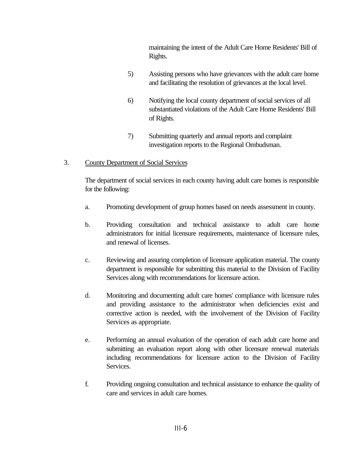maintaining the intent of the Adult Care Home Residents' Bill of Rights.

- 5) Assisting persons who have grievances with the adult care home and facilitating the resolution of grievances at the local level.
- 6) Notifying the local county department of social services of all substantiated violations of the Adult Care Home Residents' Bill of Rights.
- 7) Submitting quarterly and annual reports and complaint investigation reports to the Regional Ombudsman.

## 3. County Department of Social Services

The department of social services in each county having adult care homes is responsible for the following:

- a. Promoting development of group homes based on needs assessment in county.
- b. Providing consultation and technical assistance to adult care home administrators for initial licensure requirements, maintenance of licensure rules, and renewal of licenses.
- c. Reviewing and assuring completion of licensure application material. The county department is responsible for submitting this material to the Division of Facility Services along with recommendations for licensure action.
- d. Monitoring and documenting adult care homes' compliance with licensure rules and providing assistance to the administrator when deficiencies exist and corrective action is needed, with the involvement of the Division of Facility Services as appropriate.
- e. Performing an annual evaluation of the operation of each adult care home and submitting an evaluation report along with other licensure renewal materials including recommendations for licensure action to the Division of Facility Services.
- f. Providing ongoing consultation and technical assistance to enhance the quality of care and services in adult care homes.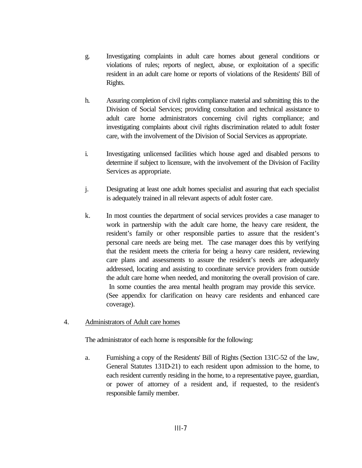- g. Investigating complaints in adult care homes about general conditions or violations of rules; reports of neglect, abuse, or exploitation of a specific resident in an adult care home or reports of violations of the Residents' Bill of Rights.
- h. Assuring completion of civil rights compliance material and submitting this to the Division of Social Services; providing consultation and technical assistance to adult care home administrators concerning civil rights compliance; and investigating complaints about civil rights discrimination related to adult foster care, with the involvement of the Division of Social Services as appropriate.
- i. Investigating unlicensed facilities which house aged and disabled persons to determine if subject to licensure, with the involvement of the Division of Facility Services as appropriate.
- j. Designating at least one adult homes specialist and assuring that each specialist is adequately trained in all relevant aspects of adult foster care.
- k. In most counties the department of social services provides a case manager to work in partnership with the adult care home, the heavy care resident, the resident's family or other responsible parties to assure that the resident's personal care needs are being met. The case manager does this by verifying that the resident meets the criteria for being a heavy care resident, reviewing care plans and assessments to assure the resident's needs are adequately addressed, locating and assisting to coordinate service providers from outside the adult care home when needed, and monitoring the overall provision of care. In some counties the area mental health program may provide this service. (See appendix for clarification on heavy care residents and enhanced care coverage).
- 4. Administrators of Adult care homes

The administrator of each home is responsible for the following:

a. Furnishing a copy of the Residents' Bill of Rights (Section 131C-52 of the law, General Statutes 131D-21) to each resident upon admission to the home, to each resident currently residing in the home, to a representative payee, guardian, or power of attorney of a resident and, if requested, to the resident's responsible family member.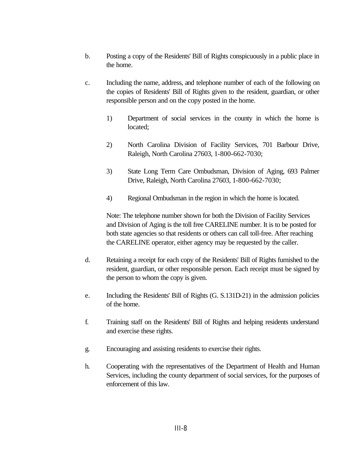- b. Posting a copy of the Residents' Bill of Rights conspicuously in a public place in the home.
- c. Including the name, address, and telephone number of each of the following on the copies of Residents' Bill of Rights given to the resident, guardian, or other responsible person and on the copy posted in the home.
	- 1) Department of social services in the county in which the home is located;
	- 2) North Carolina Division of Facility Services, 701 Barbour Drive, Raleigh, North Carolina 27603, 1-800-662-7030;
	- 3) State Long Term Care Ombudsman, Division of Aging, 693 Palmer Drive, Raleigh, North Carolina 27603, 1-800-662-7030;
	- 4) Regional Ombudsman in the region in which the home is located.

Note: The telephone number shown for both the Division of Facility Services and Division of Aging is the toll free CARELINE number. It is to be posted for both state agencies so that residents or others can call toll-free. After reaching the CARELINE operator, either agency may be requested by the caller.

- d. Retaining a receipt for each copy of the Residents' Bill of Rights furnished to the resident, guardian, or other responsible person. Each receipt must be signed by the person to whom the copy is given.
- e. Including the Residents' Bill of Rights (G. S.131D-21) in the admission policies of the home.
- f. Training staff on the Residents' Bill of Rights and helping residents understand and exercise these rights.
- g. Encouraging and assisting residents to exercise their rights.
- h. Cooperating with the representatives of the Department of Health and Human Services, including the county department of social services, for the purposes of enforcement of this law.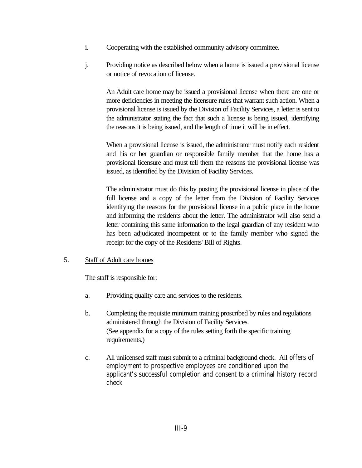- i. Cooperating with the established community advisory committee.
- j. Providing notice as described below when a home is issued a provisional license or notice of revocation of license.

An Adult care home may be issued a provisional license when there are one or more deficiencies in meeting the licensure rules that warrant such action. When a provisional license is issued by the Division of Facility Services, a letter is sent to the administrator stating the fact that such a license is being issued, identifying the reasons it is being issued, and the length of time it will be in effect.

When a provisional license is issued, the administrator must notify each resident and his or her guardian or responsible family member that the home has a provisional licensure and must tell them the reasons the provisional license was issued, as identified by the Division of Facility Services.

The administrator must do this by posting the provisional license in place of the full license and a copy of the letter from the Division of Facility Services identifying the reasons for the provisional license in a public place in the home and informing the residents about the letter. The administrator will also send a letter containing this same information to the legal guardian of any resident who has been adjudicated incompetent or to the family member who signed the receipt for the copy of the Residents' Bill of Rights.

5. Staff of Adult care homes

The staff is responsible for:

- a. Providing quality care and services to the residents.
- b. Completing the requisite minimum training proscribed by rules and regulations administered through the Division of Facility Services. (See appendix for a copy of the rules setting forth the specific training requirements.)
- c. All unlicensed staff must submit to a criminal background check. All offers of employment to prospective employees are conditioned upon the applicant's successful completion and consent to a criminal history record check